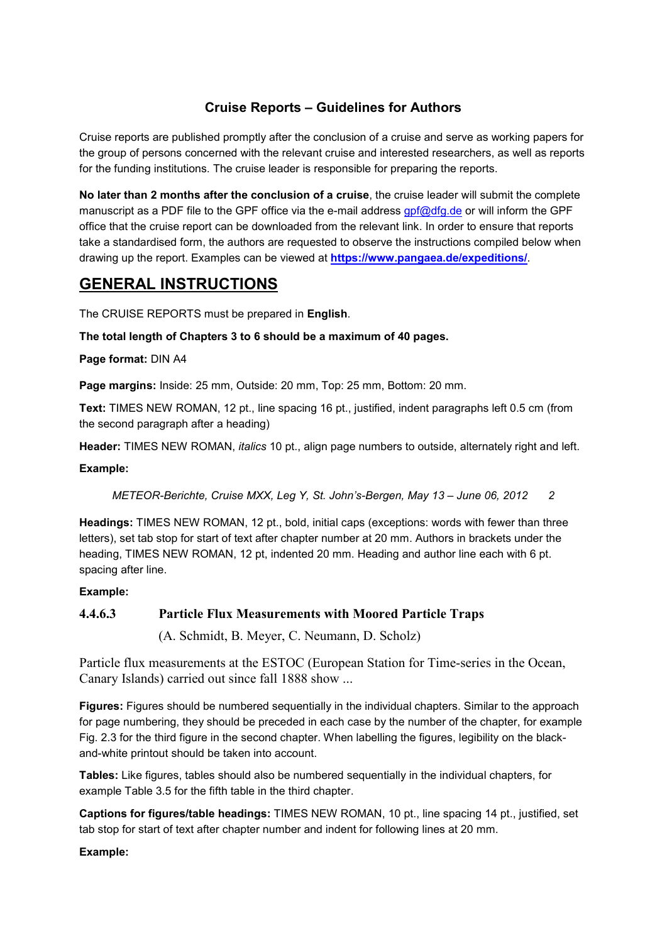## **Cruise Reports – Guidelines for Authors**

Cruise reports are published promptly after the conclusion of a cruise and serve as working papers for the group of persons concerned with the relevant cruise and interested researchers, as well as reports for the funding institutions. The cruise leader is responsible for preparing the reports.

**No later than 2 months after the conclusion of a cruise**, the cruise leader will submit the complete manuscript as a PDF file to the GPF office via the e-mail address [gpf@dfg.de](mailto:gpf@dfg.de) or will inform the GPF office that the cruise report can be downloaded from the relevant link. In order to ensure that reports take a standardised form, the authors are requested to observe the instructions compiled below when drawing up the report. Examples can be viewed at **<https://www.pangaea.de/expeditions/>**.

# **GENERAL INSTRUCTIONS**

The CRUISE REPORTS must be prepared in **English**.

**The total length of Chapters 3 to 6 should be a maximum of 40 pages.**

**Page format:** DIN A4

**Page margins:** Inside: 25 mm, Outside: 20 mm, Top: 25 mm, Bottom: 20 mm.

**Text:** TIMES NEW ROMAN, 12 pt., line spacing 16 pt., justified, indent paragraphs left 0.5 cm (from the second paragraph after a heading)

**Header:** TIMES NEW ROMAN, *italics* 10 pt., align page numbers to outside, alternately right and left.

#### **Example:**

*METEOR-Berichte, Cruise MXX, Leg Y, St. John's-Bergen, May 13 – June 06, 2012 2*

**Headings:** TIMES NEW ROMAN, 12 pt., bold, initial caps (exceptions: words with fewer than three letters), set tab stop for start of text after chapter number at 20 mm. Authors in brackets under the heading, TIMES NEW ROMAN, 12 pt, indented 20 mm. Heading and author line each with 6 pt. spacing after line.

#### **Example:**

# **4.4.6.3 Particle Flux Measurements with Moored Particle Traps** (A. Schmidt, B. Meyer, C. Neumann, D. Scholz)

Particle flux measurements at the ESTOC (European Station for Time-series in the Ocean, Canary Islands) carried out since fall 1888 show ...

**Figures:** Figures should be numbered sequentially in the individual chapters. Similar to the approach for page numbering, they should be preceded in each case by the number of the chapter, for example Fig. 2.3 for the third figure in the second chapter. When labelling the figures, legibility on the blackand-white printout should be taken into account.

**Tables:** Like figures, tables should also be numbered sequentially in the individual chapters, for example Table 3.5 for the fifth table in the third chapter.

**Captions for figures/table headings:** TIMES NEW ROMAN, 10 pt., line spacing 14 pt., justified, set tab stop for start of text after chapter number and indent for following lines at 20 mm.

#### **Example:**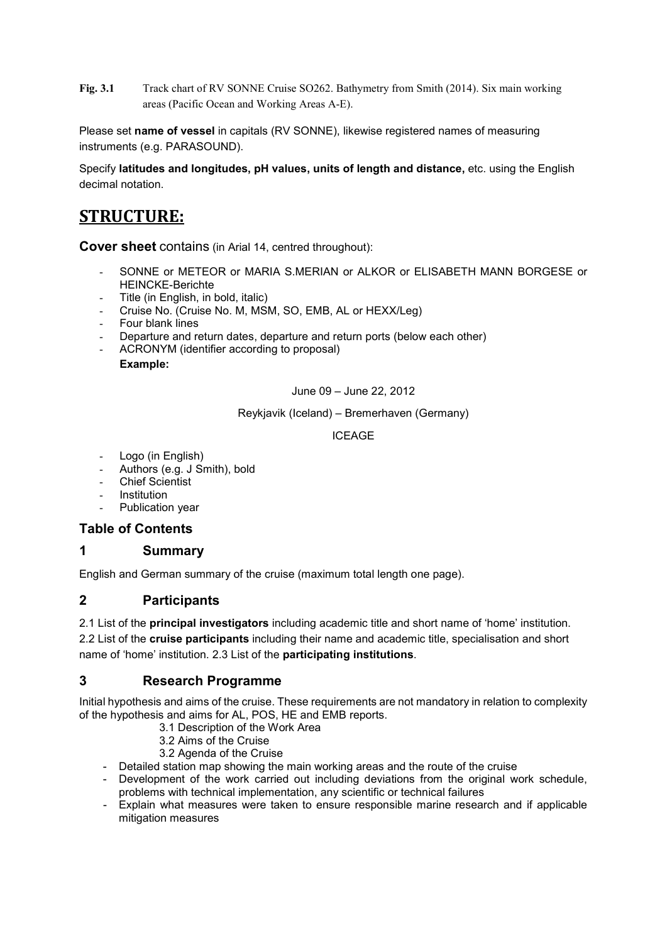**Fig. 3.1** Track chart of RV SONNE Cruise SO262. Bathymetry from Smith (2014). Six main working areas (Pacific Ocean and Working Areas A-E).

Please set **name of vessel** in capitals (RV SONNE), likewise registered names of measuring instruments (e.g. PARASOUND).

Specify **latitudes and longitudes, pH values, units of length and distance,** etc. using the English decimal notation.

# **STRUCTURE:**

**Cover sheet** contains (in Arial 14, centred throughout):

- SONNE or METEOR or MARIA S.MERIAN or ALKOR or ELISABETH MANN BORGESE or HEINCKE-Berichte
- Title (in English, in bold, italic)
- Cruise No. (Cruise No. M, MSM, SO, EMB, AL or HEXX/Leg)
- Four blank lines
- Departure and return dates, departure and return ports (below each other)
- ACRONYM (identifier according to proposal) **Example:**

June 09 – June 22, 2012

Reykjavik (Iceland) – Bremerhaven (Germany)

ICEAGE

- Logo (in English)
- Authors (e.g. J Smith), bold
- **Chief Scientist**
- **Institution**
- Publication year

#### **Table of Contents**

#### **1 Summary**

English and German summary of the cruise (maximum total length one page).

### **2 Participants**

2.1 List of the **principal investigators** including academic title and short name of 'home' institution.

2.2 List of the **cruise participants** including their name and academic title, specialisation and short name of 'home' institution. 2.3 List of the **participating institutions**.

### **3 Research Programme**

Initial hypothesis and aims of the cruise. These requirements are not mandatory in relation to complexity of the hypothesis and aims for AL, POS, HE and EMB reports.

- 3.1 Description of the Work Area
- 3.2 Aims of the Cruise
- 3.2 Agenda of the Cruise
- Detailed station map showing the main working areas and the route of the cruise
- Development of the work carried out including deviations from the original work schedule, problems with technical implementation, any scientific or technical failures
- Explain what measures were taken to ensure responsible marine research and if applicable mitigation measures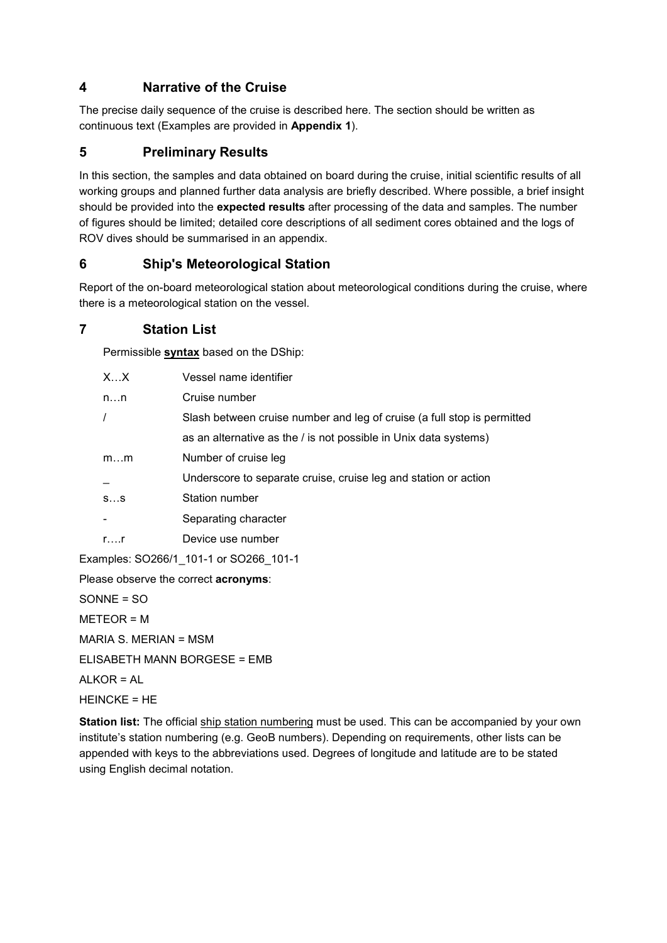## **4 Narrative of the Cruise**

The precise daily sequence of the cruise is described here. The section should be written as continuous text (Examples are provided in **Appendix 1**).

# **5 Preliminary Results**

In this section, the samples and data obtained on board during the cruise, initial scientific results of all working groups and planned further data analysis are briefly described. Where possible, a brief insight should be provided into the **expected results** after processing of the data and samples. The number of figures should be limited; detailed core descriptions of all sediment cores obtained and the logs of ROV dives should be summarised in an appendix.

# **6 Ship's Meteorological Station**

Report of the on-board meteorological station about meteorological conditions during the cruise, where there is a meteorological station on the vessel.

### **7 Station List**

Permissible **syntax** based on the DShip:

|                                      | XX           | Vessel name identifier                                                  |  |  |  |  |
|--------------------------------------|--------------|-------------------------------------------------------------------------|--|--|--|--|
|                                      | nn           | Cruise number                                                           |  |  |  |  |
|                                      |              | Slash between cruise number and leg of cruise (a full stop is permitted |  |  |  |  |
|                                      |              | as an alternative as the / is not possible in Unix data systems)        |  |  |  |  |
|                                      | mm           | Number of cruise leg                                                    |  |  |  |  |
|                                      |              | Underscore to separate cruise, cruise leg and station or action         |  |  |  |  |
|                                      | SS           | Station number                                                          |  |  |  |  |
|                                      |              | Separating character                                                    |  |  |  |  |
|                                      | $r_{\dots}$  | Device use number                                                       |  |  |  |  |
|                                      |              | Examples: SO266/1_101-1 or SO266 101-1                                  |  |  |  |  |
| Please observe the correct acronyms: |              |                                                                         |  |  |  |  |
|                                      | $SONNE = SO$ |                                                                         |  |  |  |  |
|                                      | $METEOR = M$ |                                                                         |  |  |  |  |

MARIA S. MERIAN = MSM

ELISABETH MANN BORGESE = EMB

ALKOR = AL

HEINCKE = HE

**Station list:** The official ship station numbering must be used. This can be accompanied by your own institute's station numbering (e.g. GeoB numbers). Depending on requirements, other lists can be appended with keys to the abbreviations used. Degrees of longitude and latitude are to be stated using English decimal notation.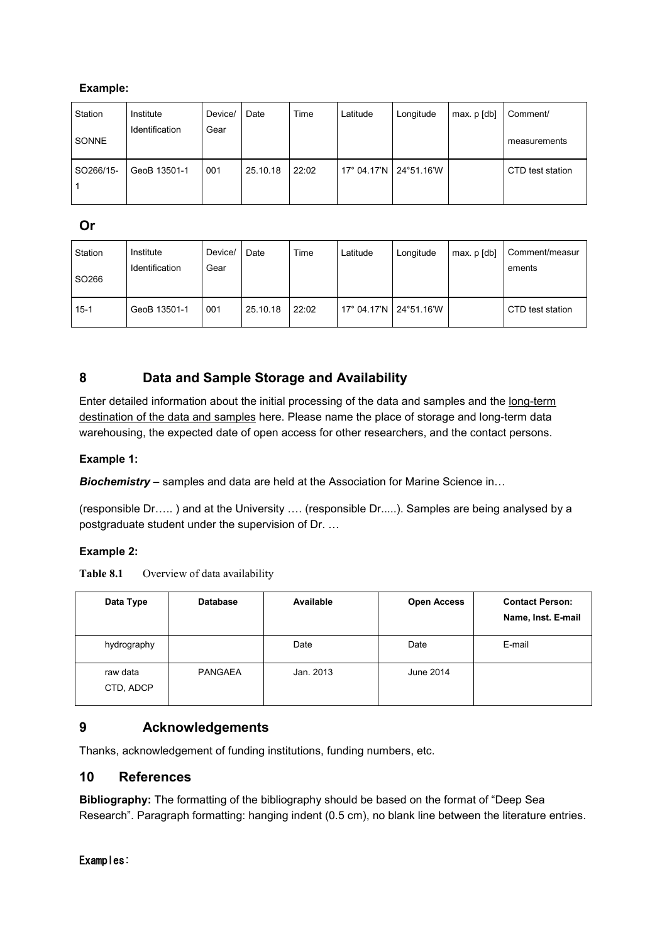### **Example:**

| Station   | Institute      | Device/ | Date     | Time  | Latitude    | Longitude  | max. p [db] | Comment/         |
|-----------|----------------|---------|----------|-------|-------------|------------|-------------|------------------|
| SONNE     | Identification | Gear    |          |       |             |            |             | measurements     |
| SO266/15- | GeoB 13501-1   | 001     | 25.10.18 | 22:02 | 17° 04.17'N | 24°51.16'W |             | CTD test station |

### **Or**

| Station<br>SO <sub>266</sub> | Institute<br>Identification | Device/<br>Gear | Date     | Time  | Latitude                 | Longitude | max. p [db] | Comment/measur<br>ements |
|------------------------------|-----------------------------|-----------------|----------|-------|--------------------------|-----------|-------------|--------------------------|
| $15 - 1$                     | GeoB 13501-1                | 001             | 25.10.18 | 22:02 | 17° 04.17'N   24°51.16'W |           |             | CTD test station         |

# **8 Data and Sample Storage and Availability**

Enter detailed information about the initial processing of the data and samples and the long-term destination of the data and samples here. Please name the place of storage and long-term data warehousing, the expected date of open access for other researchers, and the contact persons.

#### **Example 1:**

*Biochemistry* – samples and data are held at the Association for Marine Science in…

(responsible Dr….. ) and at the University …. (responsible Dr.....). Samples are being analysed by a postgraduate student under the supervision of Dr. …

#### **Example 2:**

Table 8.1 Overview of data availability

| Data Type             | <b>Database</b> | Available | <b>Open Access</b> | <b>Contact Person:</b><br>Name, Inst. E-mail |
|-----------------------|-----------------|-----------|--------------------|----------------------------------------------|
| hydrography           |                 | Date      | Date               | E-mail                                       |
| raw data<br>CTD, ADCP | <b>PANGAEA</b>  | Jan. 2013 | June 2014          |                                              |

### **9 Acknowledgements**

Thanks, acknowledgement of funding institutions, funding numbers, etc.

### **10 References**

**Bibliography:** The formatting of the bibliography should be based on the format of "Deep Sea Research". Paragraph formatting: hanging indent (0.5 cm), no blank line between the literature entries.

Examples: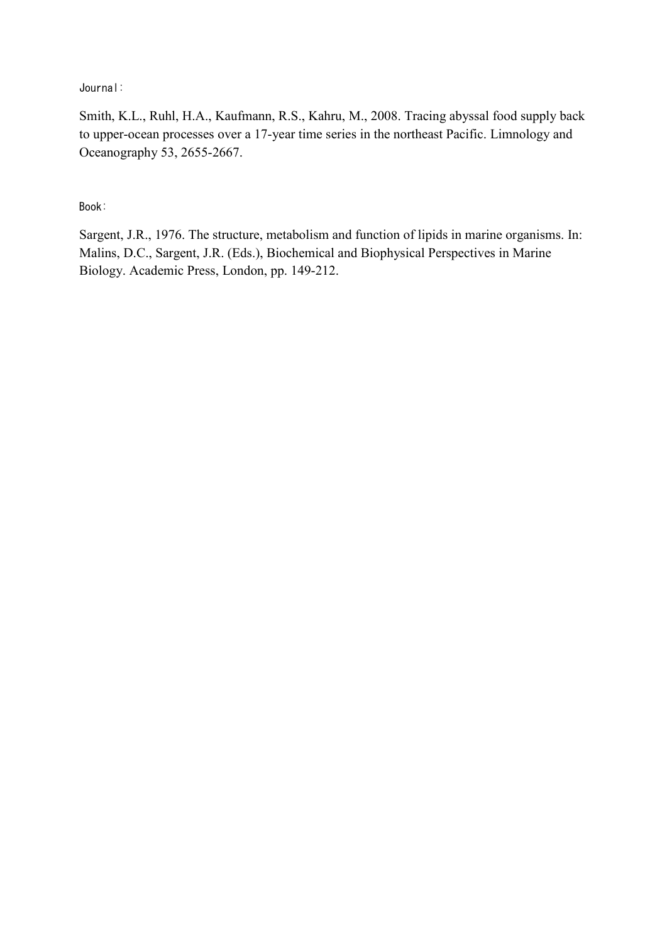Journal:

Smith, K.L., Ruhl, H.A., Kaufmann, R.S., Kahru, M., 2008. Tracing abyssal food supply back to upper-ocean processes over a 17-year time series in the northeast Pacific. Limnology and Oceanography 53, 2655-2667.

Book:

Sargent, J.R., 1976. The structure, metabolism and function of lipids in marine organisms. In: Malins, D.C., Sargent, J.R. (Eds.), Biochemical and Biophysical Perspectives in Marine Biology. Academic Press, London, pp. 149-212.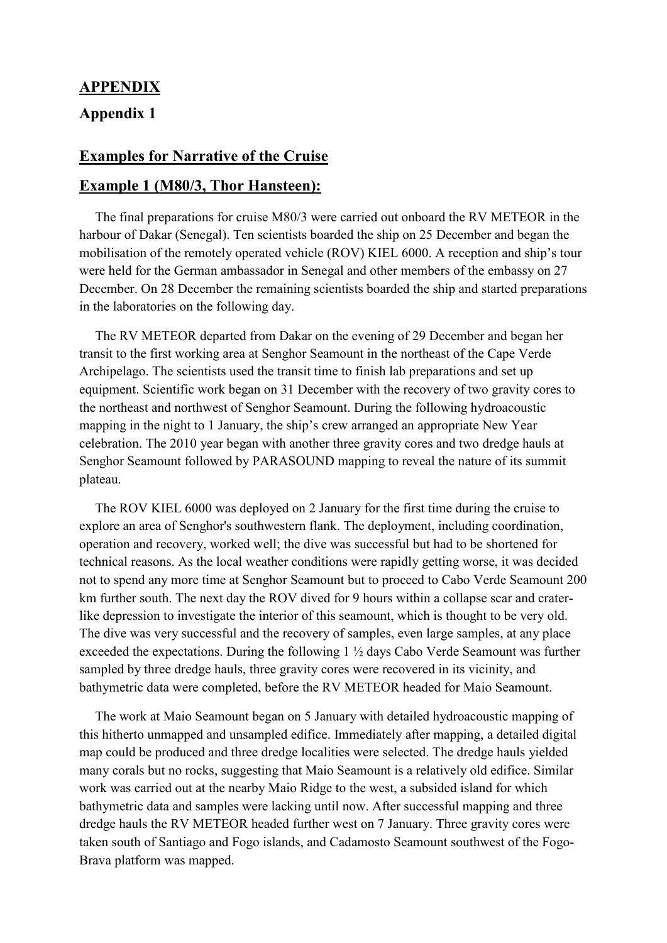# **APPENDIX Appendix 1**

## **Examples for Narrative of the Cruise**

### **Example 1 (M80/3, Thor Hansteen):**

The final preparations for cruise M80/3 were carried out onboard the RV METEOR in the harbour of Dakar (Senegal). Ten scientists boarded the ship on 25 December and began the mobilisation of the remotely operated vehicle (ROV) KIEL 6000. A reception and ship's tour were held for the German ambassador in Senegal and other members of the embassy on 27 December. On 28 December the remaining scientists boarded the ship and started preparations in the laboratories on the following day.

The RV METEOR departed from Dakar on the evening of 29 December and began her transit to the first working area at Senghor Seamount in the northeast of the Cape Verde Archipelago. The scientists used the transit time to finish lab preparations and set up equipment. Scientific work began on 31 December with the recovery of two gravity cores to the northeast and northwest of Senghor Seamount. During the following hydroacoustic mapping in the night to 1 January, the ship's crew arranged an appropriate New Year celebration. The 2010 year began with another three gravity cores and two dredge hauls at Senghor Seamount followed by PARASOUND mapping to reveal the nature of its summit plateau.

The ROV KIEL 6000 was deployed on 2 January for the first time during the cruise to explore an area of Senghor's southwestern flank. The deployment, including coordination, operation and recovery, worked well; the dive was successful but had to be shortened for technical reasons. As the local weather conditions were rapidly getting worse, it was decided not to spend any more time at Senghor Seamount but to proceed to Cabo Verde Seamount 200 km further south. The next day the ROV dived for 9 hours within a collapse scar and craterlike depression to investigate the interior of this seamount, which is thought to be very old. The dive was very successful and the recovery of samples, even large samples, at any place exceeded the expectations. During the following 1 ½ days Cabo Verde Seamount was further sampled by three dredge hauls, three gravity cores were recovered in its vicinity, and bathymetric data were completed, before the RV METEOR headed for Maio Seamount.

The work at Maio Seamount began on 5 January with detailed hydroacoustic mapping of this hitherto unmapped and unsampled edifice. Immediately after mapping, a detailed digital map could be produced and three dredge localities were selected. The dredge hauls yielded many corals but no rocks, suggesting that Maio Seamount is a relatively old edifice. Similar work was carried out at the nearby Maio Ridge to the west, a subsided island for which bathymetric data and samples were lacking until now. After successful mapping and three dredge hauls the RV METEOR headed further west on 7 January. Three gravity cores were taken south of Santiago and Fogo islands, and Cadamosto Seamount southwest of the Fogo-Brava platform was mapped.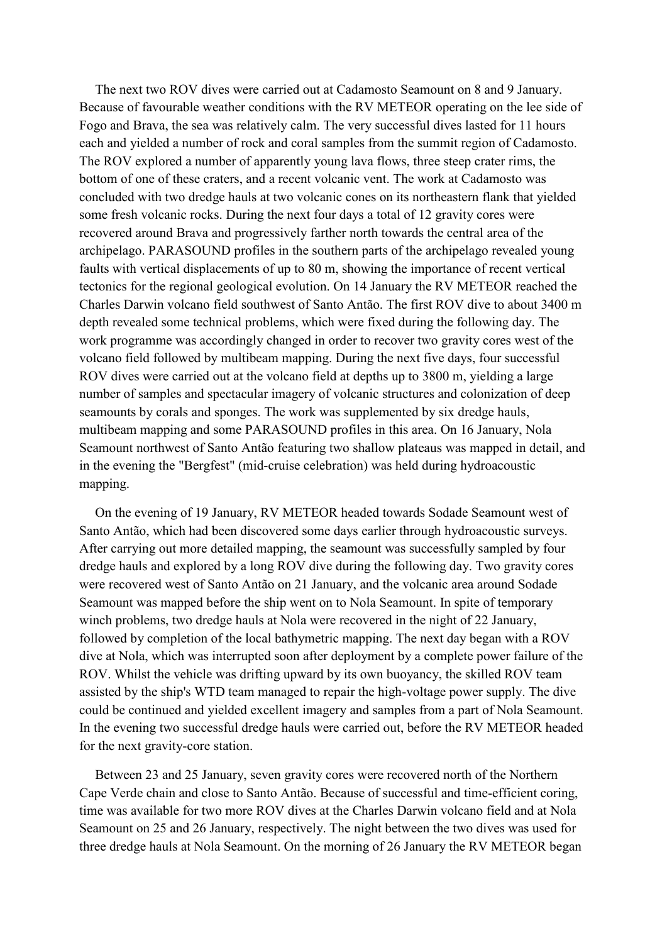The next two ROV dives were carried out at Cadamosto Seamount on 8 and 9 January. Because of favourable weather conditions with the RV METEOR operating on the lee side of Fogo and Brava, the sea was relatively calm. The very successful dives lasted for 11 hours each and yielded a number of rock and coral samples from the summit region of Cadamosto. The ROV explored a number of apparently young lava flows, three steep crater rims, the bottom of one of these craters, and a recent volcanic vent. The work at Cadamosto was concluded with two dredge hauls at two volcanic cones on its northeastern flank that yielded some fresh volcanic rocks. During the next four days a total of 12 gravity cores were recovered around Brava and progressively farther north towards the central area of the archipelago. PARASOUND profiles in the southern parts of the archipelago revealed young faults with vertical displacements of up to 80 m, showing the importance of recent vertical tectonics for the regional geological evolution. On 14 January the RV METEOR reached the Charles Darwin volcano field southwest of Santo Antão. The first ROV dive to about 3400 m depth revealed some technical problems, which were fixed during the following day. The work programme was accordingly changed in order to recover two gravity cores west of the volcano field followed by multibeam mapping. During the next five days, four successful ROV dives were carried out at the volcano field at depths up to 3800 m, yielding a large number of samples and spectacular imagery of volcanic structures and colonization of deep seamounts by corals and sponges. The work was supplemented by six dredge hauls, multibeam mapping and some PARASOUND profiles in this area. On 16 January, Nola Seamount northwest of Santo Antão featuring two shallow plateaus was mapped in detail, and in the evening the "Bergfest" (mid-cruise celebration) was held during hydroacoustic mapping.

On the evening of 19 January, RV METEOR headed towards Sodade Seamount west of Santo Antão, which had been discovered some days earlier through hydroacoustic surveys. After carrying out more detailed mapping, the seamount was successfully sampled by four dredge hauls and explored by a long ROV dive during the following day. Two gravity cores were recovered west of Santo Antão on 21 January, and the volcanic area around Sodade Seamount was mapped before the ship went on to Nola Seamount. In spite of temporary winch problems, two dredge hauls at Nola were recovered in the night of 22 January, followed by completion of the local bathymetric mapping. The next day began with a ROV dive at Nola, which was interrupted soon after deployment by a complete power failure of the ROV. Whilst the vehicle was drifting upward by its own buoyancy, the skilled ROV team assisted by the ship's WTD team managed to repair the high-voltage power supply. The dive could be continued and yielded excellent imagery and samples from a part of Nola Seamount. In the evening two successful dredge hauls were carried out, before the RV METEOR headed for the next gravity-core station.

Between 23 and 25 January, seven gravity cores were recovered north of the Northern Cape Verde chain and close to Santo Antão. Because of successful and time-efficient coring, time was available for two more ROV dives at the Charles Darwin volcano field and at Nola Seamount on 25 and 26 January, respectively. The night between the two dives was used for three dredge hauls at Nola Seamount. On the morning of 26 January the RV METEOR began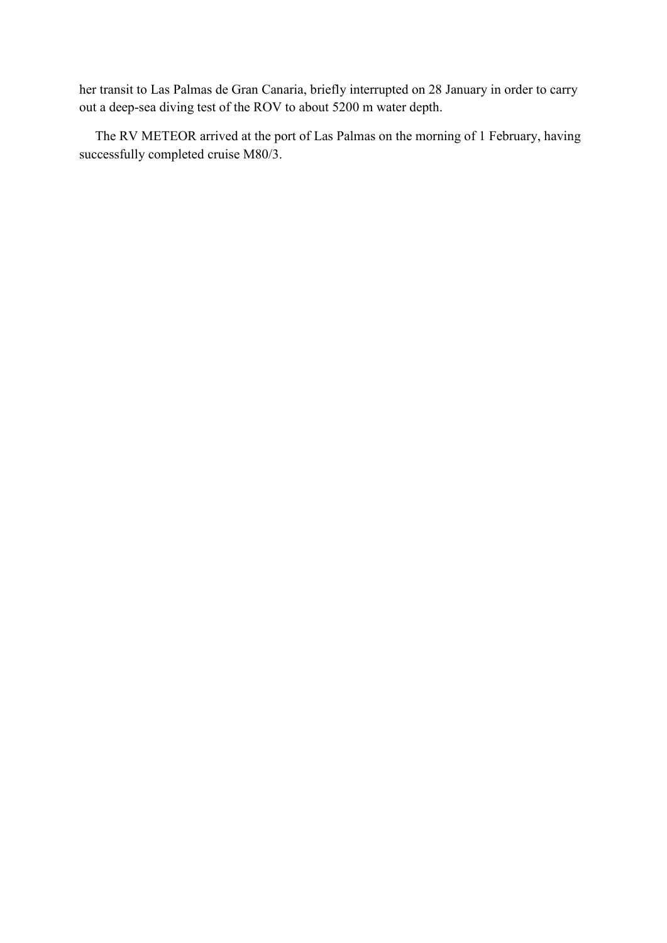her transit to Las Palmas de Gran Canaria, briefly interrupted on 28 January in order to carry out a deep-sea diving test of the ROV to about 5200 m water depth.

The RV METEOR arrived at the port of Las Palmas on the morning of 1 February, having successfully completed cruise M80/3.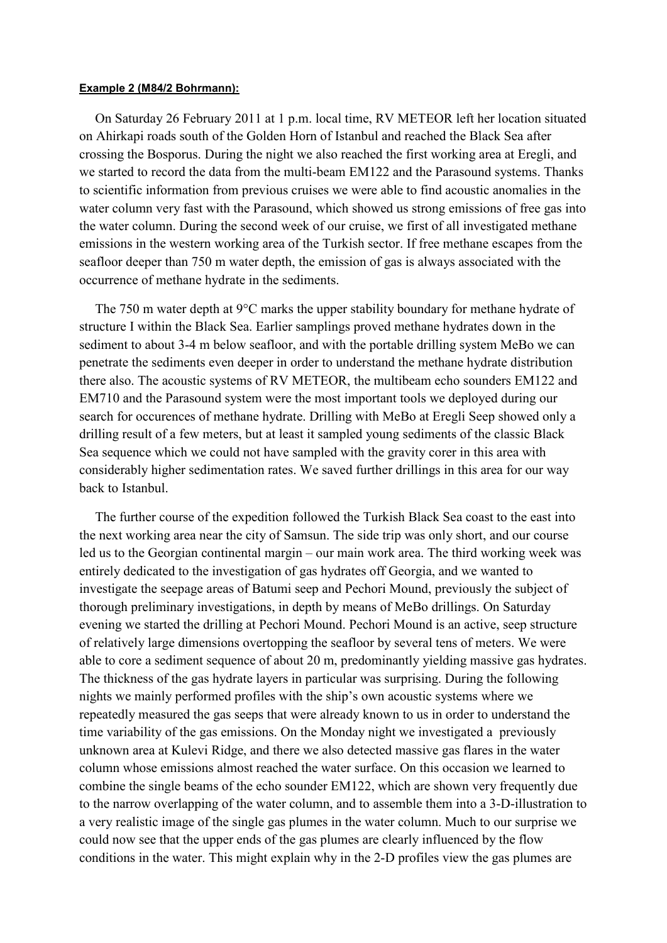#### **Example 2 (M84/2 Bohrmann):**

On Saturday 26 February 2011 at 1 p.m. local time, RV METEOR left her location situated on Ahirkapi roads south of the Golden Horn of Istanbul and reached the Black Sea after crossing the Bosporus. During the night we also reached the first working area at Eregli, and we started to record the data from the multi-beam EM122 and the Parasound systems. Thanks to scientific information from previous cruises we were able to find acoustic anomalies in the water column very fast with the Parasound, which showed us strong emissions of free gas into the water column. During the second week of our cruise, we first of all investigated methane emissions in the western working area of the Turkish sector. If free methane escapes from the seafloor deeper than 750 m water depth, the emission of gas is always associated with the occurrence of methane hydrate in the sediments.

The 750 m water depth at 9°C marks the upper stability boundary for methane hydrate of structure I within the Black Sea. Earlier samplings proved methane hydrates down in the sediment to about 3-4 m below seafloor, and with the portable drilling system MeBo we can penetrate the sediments even deeper in order to understand the methane hydrate distribution there also. The acoustic systems of RV METEOR, the multibeam echo sounders EM122 and EM710 and the Parasound system were the most important tools we deployed during our search for occurences of methane hydrate. Drilling with MeBo at Eregli Seep showed only a drilling result of a few meters, but at least it sampled young sediments of the classic Black Sea sequence which we could not have sampled with the gravity corer in this area with considerably higher sedimentation rates. We saved further drillings in this area for our way back to Istanbul.

The further course of the expedition followed the Turkish Black Sea coast to the east into the next working area near the city of Samsun. The side trip was only short, and our course led us to the Georgian continental margin – our main work area. The third working week was entirely dedicated to the investigation of gas hydrates off Georgia, and we wanted to investigate the seepage areas of Batumi seep and Pechori Mound, previously the subject of thorough preliminary investigations, in depth by means of MeBo drillings. On Saturday evening we started the drilling at Pechori Mound. Pechori Mound is an active, seep structure of relatively large dimensions overtopping the seafloor by several tens of meters. We were able to core a sediment sequence of about 20 m, predominantly yielding massive gas hydrates. The thickness of the gas hydrate layers in particular was surprising. During the following nights we mainly performed profiles with the ship's own acoustic systems where we repeatedly measured the gas seeps that were already known to us in order to understand the time variability of the gas emissions. On the Monday night we investigated a previously unknown area at Kulevi Ridge, and there we also detected massive gas flares in the water column whose emissions almost reached the water surface. On this occasion we learned to combine the single beams of the echo sounder EM122, which are shown very frequently due to the narrow overlapping of the water column, and to assemble them into a 3-D-illustration to a very realistic image of the single gas plumes in the water column. Much to our surprise we could now see that the upper ends of the gas plumes are clearly influenced by the flow conditions in the water. This might explain why in the 2-D profiles view the gas plumes are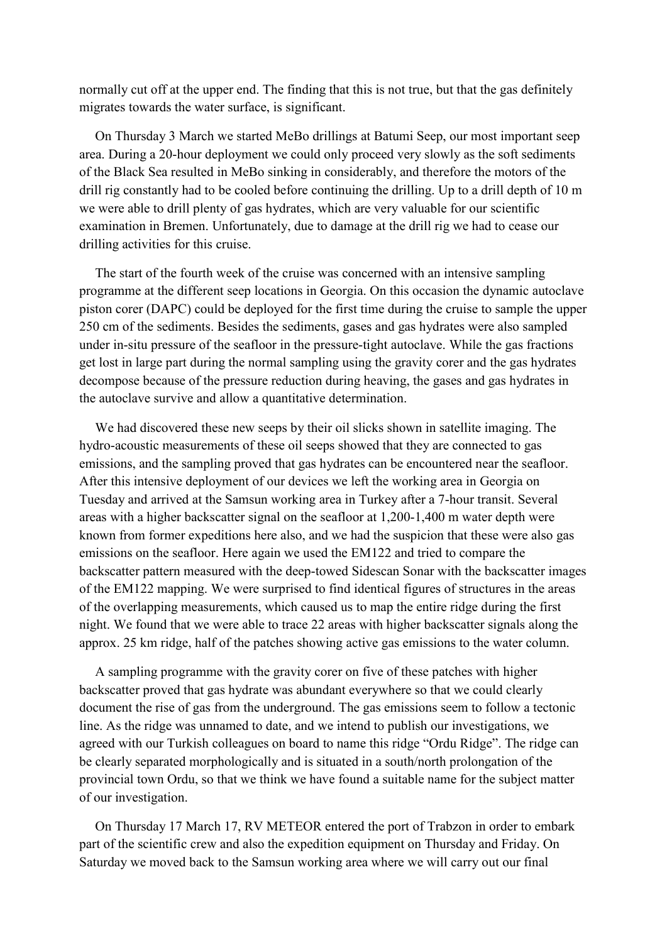normally cut off at the upper end. The finding that this is not true, but that the gas definitely migrates towards the water surface, is significant.

On Thursday 3 March we started MeBo drillings at Batumi Seep, our most important seep area. During a 20-hour deployment we could only proceed very slowly as the soft sediments of the Black Sea resulted in MeBo sinking in considerably, and therefore the motors of the drill rig constantly had to be cooled before continuing the drilling. Up to a drill depth of 10 m we were able to drill plenty of gas hydrates, which are very valuable for our scientific examination in Bremen. Unfortunately, due to damage at the drill rig we had to cease our drilling activities for this cruise.

The start of the fourth week of the cruise was concerned with an intensive sampling programme at the different seep locations in Georgia. On this occasion the dynamic autoclave piston corer (DAPC) could be deployed for the first time during the cruise to sample the upper 250 cm of the sediments. Besides the sediments, gases and gas hydrates were also sampled under in-situ pressure of the seafloor in the pressure-tight autoclave. While the gas fractions get lost in large part during the normal sampling using the gravity corer and the gas hydrates decompose because of the pressure reduction during heaving, the gases and gas hydrates in the autoclave survive and allow a quantitative determination.

We had discovered these new seeps by their oil slicks shown in satellite imaging. The hydro-acoustic measurements of these oil seeps showed that they are connected to gas emissions, and the sampling proved that gas hydrates can be encountered near the seafloor. After this intensive deployment of our devices we left the working area in Georgia on Tuesday and arrived at the Samsun working area in Turkey after a 7-hour transit. Several areas with a higher backscatter signal on the seafloor at 1,200-1,400 m water depth were known from former expeditions here also, and we had the suspicion that these were also gas emissions on the seafloor. Here again we used the EM122 and tried to compare the backscatter pattern measured with the deep-towed Sidescan Sonar with the backscatter images of the EM122 mapping. We were surprised to find identical figures of structures in the areas of the overlapping measurements, which caused us to map the entire ridge during the first night. We found that we were able to trace 22 areas with higher backscatter signals along the approx. 25 km ridge, half of the patches showing active gas emissions to the water column.

A sampling programme with the gravity corer on five of these patches with higher backscatter proved that gas hydrate was abundant everywhere so that we could clearly document the rise of gas from the underground. The gas emissions seem to follow a tectonic line. As the ridge was unnamed to date, and we intend to publish our investigations, we agreed with our Turkish colleagues on board to name this ridge "Ordu Ridge". The ridge can be clearly separated morphologically and is situated in a south/north prolongation of the provincial town Ordu, so that we think we have found a suitable name for the subject matter of our investigation.

On Thursday 17 March 17, RV METEOR entered the port of Trabzon in order to embark part of the scientific crew and also the expedition equipment on Thursday and Friday. On Saturday we moved back to the Samsun working area where we will carry out our final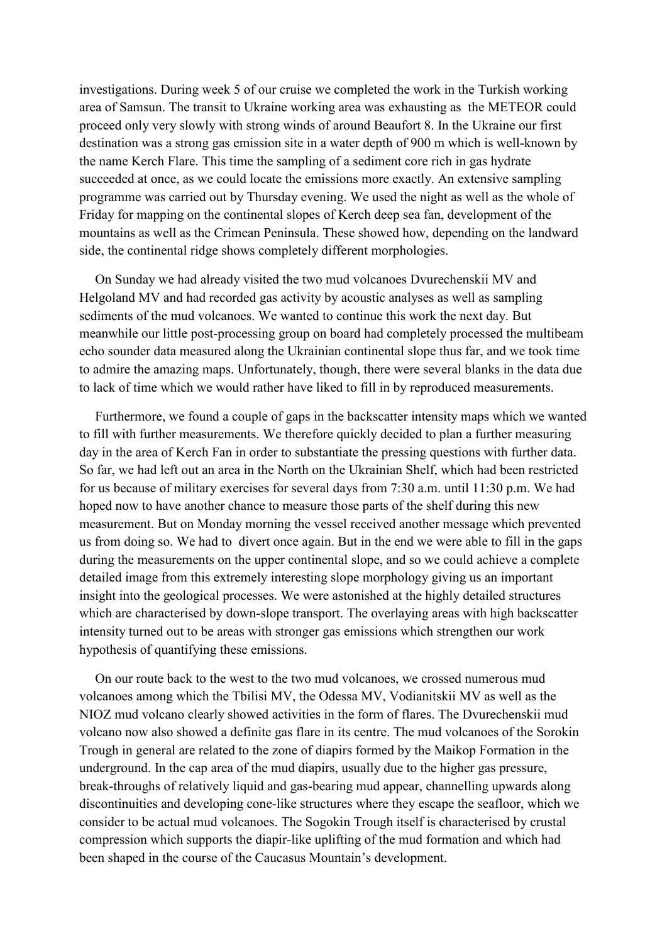investigations. During week 5 of our cruise we completed the work in the Turkish working area of Samsun. The transit to Ukraine working area was exhausting as the METEOR could proceed only very slowly with strong winds of around Beaufort 8. In the Ukraine our first destination was a strong gas emission site in a water depth of 900 m which is well-known by the name Kerch Flare. This time the sampling of a sediment core rich in gas hydrate succeeded at once, as we could locate the emissions more exactly. An extensive sampling programme was carried out by Thursday evening. We used the night as well as the whole of Friday for mapping on the continental slopes of Kerch deep sea fan, development of the mountains as well as the Crimean Peninsula. These showed how, depending on the landward side, the continental ridge shows completely different morphologies.

On Sunday we had already visited the two mud volcanoes Dvurechenskii MV and Helgoland MV and had recorded gas activity by acoustic analyses as well as sampling sediments of the mud volcanoes. We wanted to continue this work the next day. But meanwhile our little post-processing group on board had completely processed the multibeam echo sounder data measured along the Ukrainian continental slope thus far, and we took time to admire the amazing maps. Unfortunately, though, there were several blanks in the data due to lack of time which we would rather have liked to fill in by reproduced measurements.

Furthermore, we found a couple of gaps in the backscatter intensity maps which we wanted to fill with further measurements. We therefore quickly decided to plan a further measuring day in the area of Kerch Fan in order to substantiate the pressing questions with further data. So far, we had left out an area in the North on the Ukrainian Shelf, which had been restricted for us because of military exercises for several days from 7:30 a.m. until 11:30 p.m. We had hoped now to have another chance to measure those parts of the shelf during this new measurement. But on Monday morning the vessel received another message which prevented us from doing so. We had to divert once again. But in the end we were able to fill in the gaps during the measurements on the upper continental slope, and so we could achieve a complete detailed image from this extremely interesting slope morphology giving us an important insight into the geological processes. We were astonished at the highly detailed structures which are characterised by down-slope transport. The overlaying areas with high backscatter intensity turned out to be areas with stronger gas emissions which strengthen our work hypothesis of quantifying these emissions.

On our route back to the west to the two mud volcanoes, we crossed numerous mud volcanoes among which the Tbilisi MV, the Odessa MV, Vodianitskii MV as well as the NIOZ mud volcano clearly showed activities in the form of flares. The Dvurechenskii mud volcano now also showed a definite gas flare in its centre. The mud volcanoes of the Sorokin Trough in general are related to the zone of diapirs formed by the Maikop Formation in the underground. In the cap area of the mud diapirs, usually due to the higher gas pressure, break-throughs of relatively liquid and gas-bearing mud appear, channelling upwards along discontinuities and developing cone-like structures where they escape the seafloor, which we consider to be actual mud volcanoes. The Sogokin Trough itself is characterised by crustal compression which supports the diapir-like uplifting of the mud formation and which had been shaped in the course of the Caucasus Mountain's development.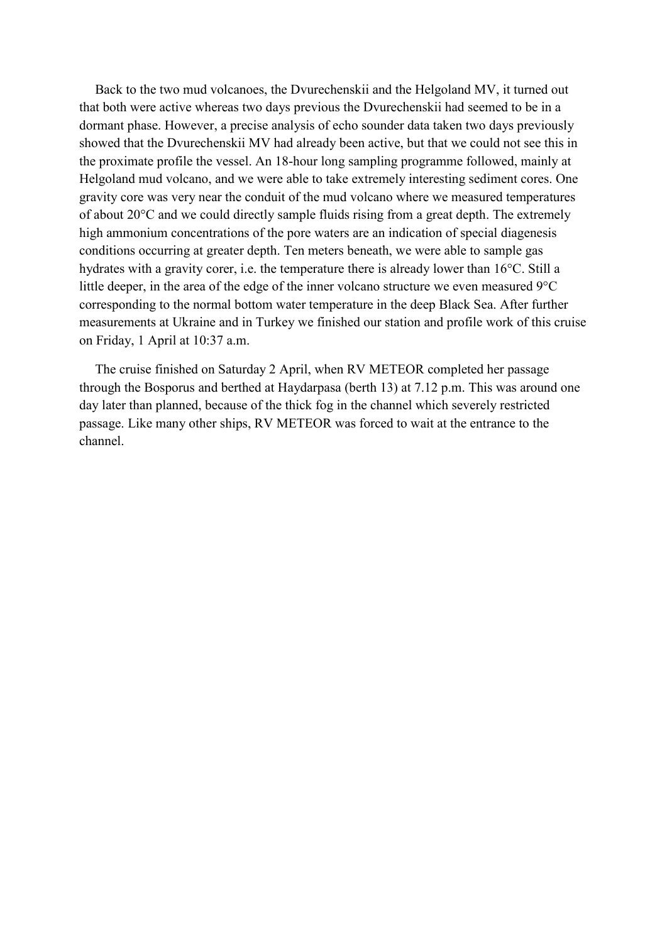Back to the two mud volcanoes, the Dvurechenskii and the Helgoland MV, it turned out that both were active whereas two days previous the Dvurechenskii had seemed to be in a dormant phase. However, a precise analysis of echo sounder data taken two days previously showed that the Dvurechenskii MV had already been active, but that we could not see this in the proximate profile the vessel. An 18-hour long sampling programme followed, mainly at Helgoland mud volcano, and we were able to take extremely interesting sediment cores. One gravity core was very near the conduit of the mud volcano where we measured temperatures of about 20°C and we could directly sample fluids rising from a great depth. The extremely high ammonium concentrations of the pore waters are an indication of special diagenesis conditions occurring at greater depth. Ten meters beneath, we were able to sample gas hydrates with a gravity corer, i.e. the temperature there is already lower than 16°C. Still a little deeper, in the area of the edge of the inner volcano structure we even measured 9°C corresponding to the normal bottom water temperature in the deep Black Sea. After further measurements at Ukraine and in Turkey we finished our station and profile work of this cruise on Friday, 1 April at 10:37 a.m.

The cruise finished on Saturday 2 April, when RV METEOR completed her passage through the Bosporus and berthed at Haydarpasa (berth 13) at 7.12 p.m. This was around one day later than planned, because of the thick fog in the channel which severely restricted passage. Like many other ships, RV METEOR was forced to wait at the entrance to the channel.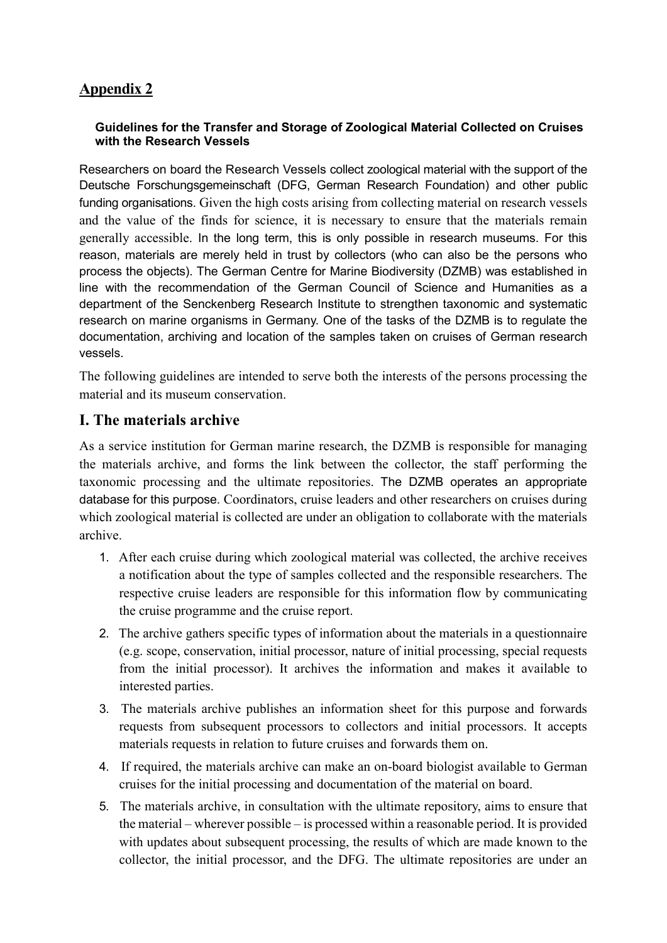# **Appendix 2**

#### **Guidelines for the Transfer and Storage of Zoological Material Collected on Cruises with the Research Vessels**

Researchers on board the Research Vessels collect zoological material with the support of the Deutsche Forschungsgemeinschaft (DFG, German Research Foundation) and other public funding organisations. Given the high costs arising from collecting material on research vessels and the value of the finds for science, it is necessary to ensure that the materials remain generally accessible. In the long term, this is only possible in research museums. For this reason, materials are merely held in trust by collectors (who can also be the persons who process the objects). The German Centre for Marine Biodiversity (DZMB) was established in line with the recommendation of the German Council of Science and Humanities as a department of the Senckenberg Research Institute to strengthen taxonomic and systematic research on marine organisms in Germany. One of the tasks of the DZMB is to regulate the documentation, archiving and location of the samples taken on cruises of German research vessels.

The following guidelines are intended to serve both the interests of the persons processing the material and its museum conservation.

# **I. The materials archive**

As a service institution for German marine research, the DZMB is responsible for managing the materials archive, and forms the link between the collector, the staff performing the taxonomic processing and the ultimate repositories. The DZMB operates an appropriate database for this purpose. Coordinators, cruise leaders and other researchers on cruises during which zoological material is collected are under an obligation to collaborate with the materials archive.

- 1. After each cruise during which zoological material was collected, the archive receives a notification about the type of samples collected and the responsible researchers. The respective cruise leaders are responsible for this information flow by communicating the cruise programme and the cruise report.
- 2. The archive gathers specific types of information about the materials in a questionnaire (e.g. scope, conservation, initial processor, nature of initial processing, special requests from the initial processor). It archives the information and makes it available to interested parties.
- 3. The materials archive publishes an information sheet for this purpose and forwards requests from subsequent processors to collectors and initial processors. It accepts materials requests in relation to future cruises and forwards them on.
- 4. If required, the materials archive can make an on-board biologist available to German cruises for the initial processing and documentation of the material on board.
- 5. The materials archive, in consultation with the ultimate repository, aims to ensure that the material – wherever possible – is processed within a reasonable period. It is provided with updates about subsequent processing, the results of which are made known to the collector, the initial processor, and the DFG. The ultimate repositories are under an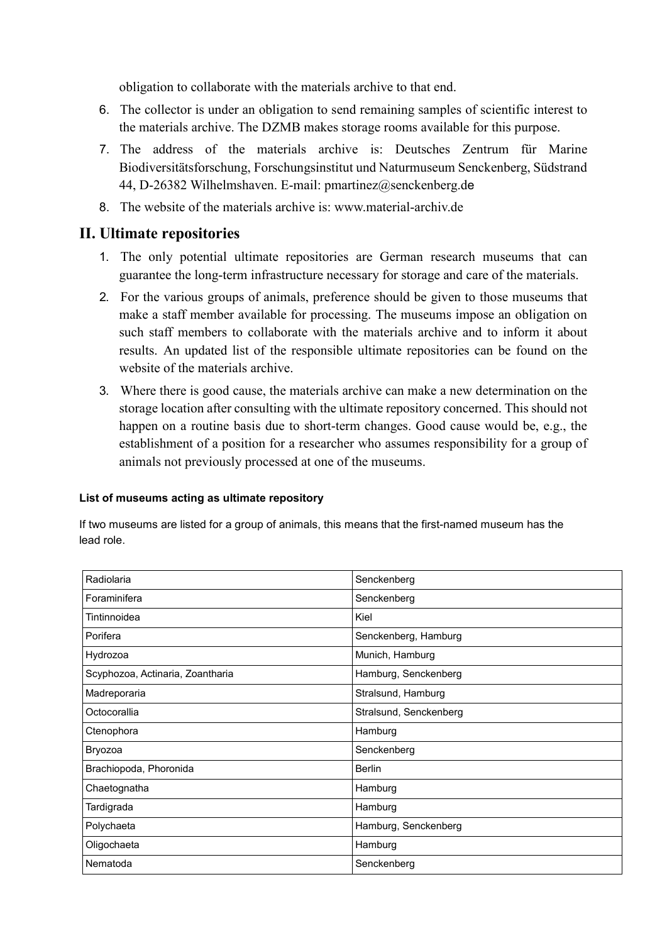obligation to collaborate with the materials archive to that end.

- 6. The collector is under an obligation to send remaining samples of scientific interest to the materials archive. The DZMB makes storage rooms available for this purpose.
- 7. The address of the materials archive is: Deutsches Zentrum für Marine Biodiversitätsforschung, Forschungsinstitut und Naturmuseum Senckenberg, Südstrand 44, D-26382 Wilhelmshaven. E-mail: pmartinez@senckenberg.de
- 8. The website of the materials archive is: [www.material-archiv.de](http://www.material-archiv.de/)

## **II. Ultimate repositories**

- 1. The only potential ultimate repositories are German research museums that can guarantee the long-term infrastructure necessary for storage and care of the materials.
- 2. For the various groups of animals, preference should be given to those museums that make a staff member available for processing. The museums impose an obligation on such staff members to collaborate with the materials archive and to inform it about results. An updated list of the responsible ultimate repositories can be found on the website of the materials archive.
- 3. Where there is good cause, the materials archive can make a new determination on the storage location after consulting with the ultimate repository concerned. This should not happen on a routine basis due to short-term changes. Good cause would be, e.g., the establishment of a position for a researcher who assumes responsibility for a group of animals not previously processed at one of the museums.

#### **List of museums acting as ultimate repository**

| Radiolaria                       | Senckenberg            |
|----------------------------------|------------------------|
| Foraminifera                     | Senckenberg            |
| Tintinnoidea                     | Kiel                   |
| Porifera                         | Senckenberg, Hamburg   |
| Hydrozoa                         | Munich, Hamburg        |
| Scyphozoa, Actinaria, Zoantharia | Hamburg, Senckenberg   |
| Madreporaria                     | Stralsund, Hamburg     |
| Octocorallia                     | Stralsund, Senckenberg |
| Ctenophora                       | Hamburg                |
| Bryozoa                          | Senckenberg            |
| Brachiopoda, Phoronida           | <b>Berlin</b>          |
| Chaetognatha                     | Hamburg                |
| Tardigrada                       | Hamburg                |
| Polychaeta                       | Hamburg, Senckenberg   |
| Oligochaeta                      | Hamburg                |
| Nematoda                         | Senckenberg            |
|                                  |                        |

If two museums are listed for a group of animals, this means that the first-named museum has the lead role.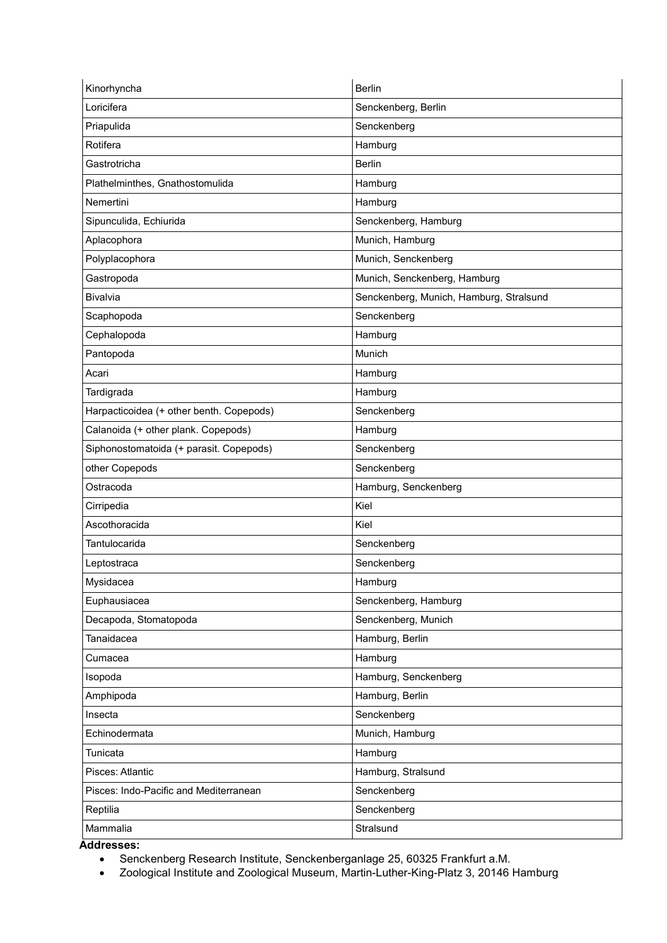| Loricifera<br>Senckenberg, Berlin<br>Priapulida<br>Senckenberg<br>Rotifera<br>Hamburg<br>Gastrotricha<br><b>Berlin</b><br>Plathelminthes, Gnathostomulida<br>Hamburg<br>Nemertini<br>Hamburg<br>Sipunculida, Echiurida<br>Senckenberg, Hamburg<br>Aplacophora<br>Munich, Hamburg<br>Polyplacophora<br>Munich, Senckenberg<br>Gastropoda<br>Munich, Senckenberg, Hamburg<br>Bivalvia<br>Senckenberg, Munich, Hamburg, Stralsund<br>Scaphopoda<br>Senckenberg<br>Cephalopoda<br>Hamburg<br>Pantopoda<br>Munich<br>Acari<br>Hamburg<br>Tardigrada<br>Hamburg<br>Harpacticoidea (+ other benth. Copepods)<br>Senckenberg<br>Calanoida (+ other plank. Copepods)<br>Hamburg<br>Siphonostomatoida (+ parasit. Copepods)<br>Senckenberg<br>other Copepods<br>Senckenberg<br>Ostracoda<br>Hamburg, Senckenberg<br>Kiel<br>Cirripedia<br>Ascothoracida<br>Kiel<br>Tantulocarida<br>Senckenberg<br>Senckenberg<br>Leptostraca<br>Mysidacea<br>Hamburg<br>Euphausiacea<br>Senckenberg, Hamburg<br>Decapoda, Stomatopoda<br>Senckenberg, Munich<br>Tanaidacea<br>Hamburg, Berlin<br>Hamburg<br>Cumacea<br>Hamburg, Senckenberg<br>Isopoda<br>Hamburg, Berlin<br>Amphipoda<br>Senckenberg<br>Insecta<br>Echinodermata<br>Munich, Hamburg<br>Tunicata<br>Hamburg<br>Pisces: Atlantic<br>Hamburg, Stralsund<br>Pisces: Indo-Pacific and Mediterranean<br>Senckenberg<br>Senckenberg<br>Reptilia<br>Mammalia<br>Stralsund | Kinorhyncha | <b>Berlin</b> |
|-----------------------------------------------------------------------------------------------------------------------------------------------------------------------------------------------------------------------------------------------------------------------------------------------------------------------------------------------------------------------------------------------------------------------------------------------------------------------------------------------------------------------------------------------------------------------------------------------------------------------------------------------------------------------------------------------------------------------------------------------------------------------------------------------------------------------------------------------------------------------------------------------------------------------------------------------------------------------------------------------------------------------------------------------------------------------------------------------------------------------------------------------------------------------------------------------------------------------------------------------------------------------------------------------------------------------------------------------------------------------------------------------------------|-------------|---------------|
|                                                                                                                                                                                                                                                                                                                                                                                                                                                                                                                                                                                                                                                                                                                                                                                                                                                                                                                                                                                                                                                                                                                                                                                                                                                                                                                                                                                                           |             |               |
|                                                                                                                                                                                                                                                                                                                                                                                                                                                                                                                                                                                                                                                                                                                                                                                                                                                                                                                                                                                                                                                                                                                                                                                                                                                                                                                                                                                                           |             |               |
|                                                                                                                                                                                                                                                                                                                                                                                                                                                                                                                                                                                                                                                                                                                                                                                                                                                                                                                                                                                                                                                                                                                                                                                                                                                                                                                                                                                                           |             |               |
|                                                                                                                                                                                                                                                                                                                                                                                                                                                                                                                                                                                                                                                                                                                                                                                                                                                                                                                                                                                                                                                                                                                                                                                                                                                                                                                                                                                                           |             |               |
|                                                                                                                                                                                                                                                                                                                                                                                                                                                                                                                                                                                                                                                                                                                                                                                                                                                                                                                                                                                                                                                                                                                                                                                                                                                                                                                                                                                                           |             |               |
|                                                                                                                                                                                                                                                                                                                                                                                                                                                                                                                                                                                                                                                                                                                                                                                                                                                                                                                                                                                                                                                                                                                                                                                                                                                                                                                                                                                                           |             |               |
|                                                                                                                                                                                                                                                                                                                                                                                                                                                                                                                                                                                                                                                                                                                                                                                                                                                                                                                                                                                                                                                                                                                                                                                                                                                                                                                                                                                                           |             |               |
|                                                                                                                                                                                                                                                                                                                                                                                                                                                                                                                                                                                                                                                                                                                                                                                                                                                                                                                                                                                                                                                                                                                                                                                                                                                                                                                                                                                                           |             |               |
|                                                                                                                                                                                                                                                                                                                                                                                                                                                                                                                                                                                                                                                                                                                                                                                                                                                                                                                                                                                                                                                                                                                                                                                                                                                                                                                                                                                                           |             |               |
|                                                                                                                                                                                                                                                                                                                                                                                                                                                                                                                                                                                                                                                                                                                                                                                                                                                                                                                                                                                                                                                                                                                                                                                                                                                                                                                                                                                                           |             |               |
|                                                                                                                                                                                                                                                                                                                                                                                                                                                                                                                                                                                                                                                                                                                                                                                                                                                                                                                                                                                                                                                                                                                                                                                                                                                                                                                                                                                                           |             |               |
|                                                                                                                                                                                                                                                                                                                                                                                                                                                                                                                                                                                                                                                                                                                                                                                                                                                                                                                                                                                                                                                                                                                                                                                                                                                                                                                                                                                                           |             |               |
|                                                                                                                                                                                                                                                                                                                                                                                                                                                                                                                                                                                                                                                                                                                                                                                                                                                                                                                                                                                                                                                                                                                                                                                                                                                                                                                                                                                                           |             |               |
|                                                                                                                                                                                                                                                                                                                                                                                                                                                                                                                                                                                                                                                                                                                                                                                                                                                                                                                                                                                                                                                                                                                                                                                                                                                                                                                                                                                                           |             |               |
|                                                                                                                                                                                                                                                                                                                                                                                                                                                                                                                                                                                                                                                                                                                                                                                                                                                                                                                                                                                                                                                                                                                                                                                                                                                                                                                                                                                                           |             |               |
|                                                                                                                                                                                                                                                                                                                                                                                                                                                                                                                                                                                                                                                                                                                                                                                                                                                                                                                                                                                                                                                                                                                                                                                                                                                                                                                                                                                                           |             |               |
|                                                                                                                                                                                                                                                                                                                                                                                                                                                                                                                                                                                                                                                                                                                                                                                                                                                                                                                                                                                                                                                                                                                                                                                                                                                                                                                                                                                                           |             |               |
|                                                                                                                                                                                                                                                                                                                                                                                                                                                                                                                                                                                                                                                                                                                                                                                                                                                                                                                                                                                                                                                                                                                                                                                                                                                                                                                                                                                                           |             |               |
|                                                                                                                                                                                                                                                                                                                                                                                                                                                                                                                                                                                                                                                                                                                                                                                                                                                                                                                                                                                                                                                                                                                                                                                                                                                                                                                                                                                                           |             |               |
|                                                                                                                                                                                                                                                                                                                                                                                                                                                                                                                                                                                                                                                                                                                                                                                                                                                                                                                                                                                                                                                                                                                                                                                                                                                                                                                                                                                                           |             |               |
|                                                                                                                                                                                                                                                                                                                                                                                                                                                                                                                                                                                                                                                                                                                                                                                                                                                                                                                                                                                                                                                                                                                                                                                                                                                                                                                                                                                                           |             |               |
|                                                                                                                                                                                                                                                                                                                                                                                                                                                                                                                                                                                                                                                                                                                                                                                                                                                                                                                                                                                                                                                                                                                                                                                                                                                                                                                                                                                                           |             |               |
|                                                                                                                                                                                                                                                                                                                                                                                                                                                                                                                                                                                                                                                                                                                                                                                                                                                                                                                                                                                                                                                                                                                                                                                                                                                                                                                                                                                                           |             |               |
|                                                                                                                                                                                                                                                                                                                                                                                                                                                                                                                                                                                                                                                                                                                                                                                                                                                                                                                                                                                                                                                                                                                                                                                                                                                                                                                                                                                                           |             |               |
|                                                                                                                                                                                                                                                                                                                                                                                                                                                                                                                                                                                                                                                                                                                                                                                                                                                                                                                                                                                                                                                                                                                                                                                                                                                                                                                                                                                                           |             |               |
|                                                                                                                                                                                                                                                                                                                                                                                                                                                                                                                                                                                                                                                                                                                                                                                                                                                                                                                                                                                                                                                                                                                                                                                                                                                                                                                                                                                                           |             |               |
|                                                                                                                                                                                                                                                                                                                                                                                                                                                                                                                                                                                                                                                                                                                                                                                                                                                                                                                                                                                                                                                                                                                                                                                                                                                                                                                                                                                                           |             |               |
|                                                                                                                                                                                                                                                                                                                                                                                                                                                                                                                                                                                                                                                                                                                                                                                                                                                                                                                                                                                                                                                                                                                                                                                                                                                                                                                                                                                                           |             |               |
|                                                                                                                                                                                                                                                                                                                                                                                                                                                                                                                                                                                                                                                                                                                                                                                                                                                                                                                                                                                                                                                                                                                                                                                                                                                                                                                                                                                                           |             |               |
|                                                                                                                                                                                                                                                                                                                                                                                                                                                                                                                                                                                                                                                                                                                                                                                                                                                                                                                                                                                                                                                                                                                                                                                                                                                                                                                                                                                                           |             |               |
|                                                                                                                                                                                                                                                                                                                                                                                                                                                                                                                                                                                                                                                                                                                                                                                                                                                                                                                                                                                                                                                                                                                                                                                                                                                                                                                                                                                                           |             |               |
|                                                                                                                                                                                                                                                                                                                                                                                                                                                                                                                                                                                                                                                                                                                                                                                                                                                                                                                                                                                                                                                                                                                                                                                                                                                                                                                                                                                                           |             |               |
|                                                                                                                                                                                                                                                                                                                                                                                                                                                                                                                                                                                                                                                                                                                                                                                                                                                                                                                                                                                                                                                                                                                                                                                                                                                                                                                                                                                                           |             |               |
|                                                                                                                                                                                                                                                                                                                                                                                                                                                                                                                                                                                                                                                                                                                                                                                                                                                                                                                                                                                                                                                                                                                                                                                                                                                                                                                                                                                                           |             |               |
|                                                                                                                                                                                                                                                                                                                                                                                                                                                                                                                                                                                                                                                                                                                                                                                                                                                                                                                                                                                                                                                                                                                                                                                                                                                                                                                                                                                                           |             |               |
|                                                                                                                                                                                                                                                                                                                                                                                                                                                                                                                                                                                                                                                                                                                                                                                                                                                                                                                                                                                                                                                                                                                                                                                                                                                                                                                                                                                                           |             |               |
|                                                                                                                                                                                                                                                                                                                                                                                                                                                                                                                                                                                                                                                                                                                                                                                                                                                                                                                                                                                                                                                                                                                                                                                                                                                                                                                                                                                                           |             |               |
|                                                                                                                                                                                                                                                                                                                                                                                                                                                                                                                                                                                                                                                                                                                                                                                                                                                                                                                                                                                                                                                                                                                                                                                                                                                                                                                                                                                                           |             |               |
|                                                                                                                                                                                                                                                                                                                                                                                                                                                                                                                                                                                                                                                                                                                                                                                                                                                                                                                                                                                                                                                                                                                                                                                                                                                                                                                                                                                                           |             |               |

**Addresses:**

• Senckenberg Research Institute, Senckenberganlage 25, 60325 Frankfurt a.M.

• Zoological Institute and Zoological Museum, Martin-Luther-King-Platz 3, 20146 Hamburg